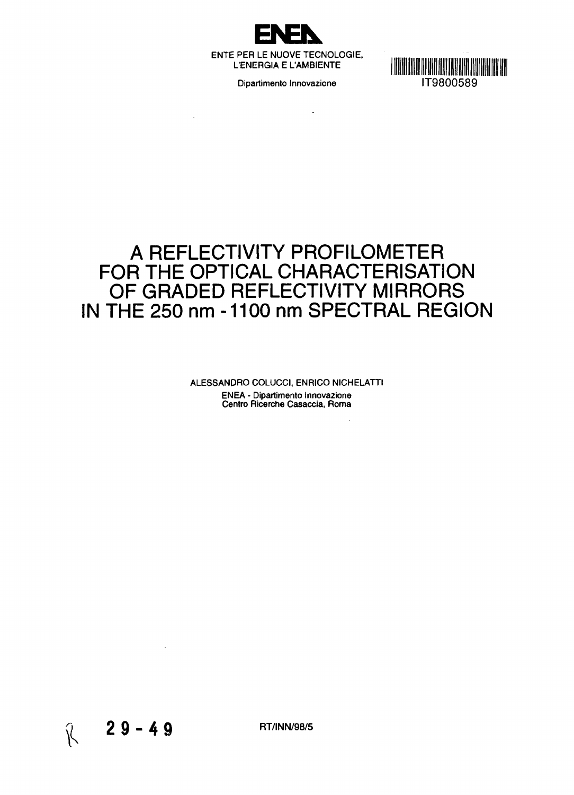

l,



# **A REFLECTIVITY PROFILOMETER FOR THE OPTICAL CHARACTERISATION OF GRADED REFLECTIVITY MIRRORS IN THE 250 nm -1100 nm SPECTRAL REGION**

ALESSANDRO COLUCCI, ENRICO NICHELATTI ENEA - Dipartimento Innovazione Centro Ricerche Casaccia, Roma



 $\mathcal{A}$ 

RT/INN/98/5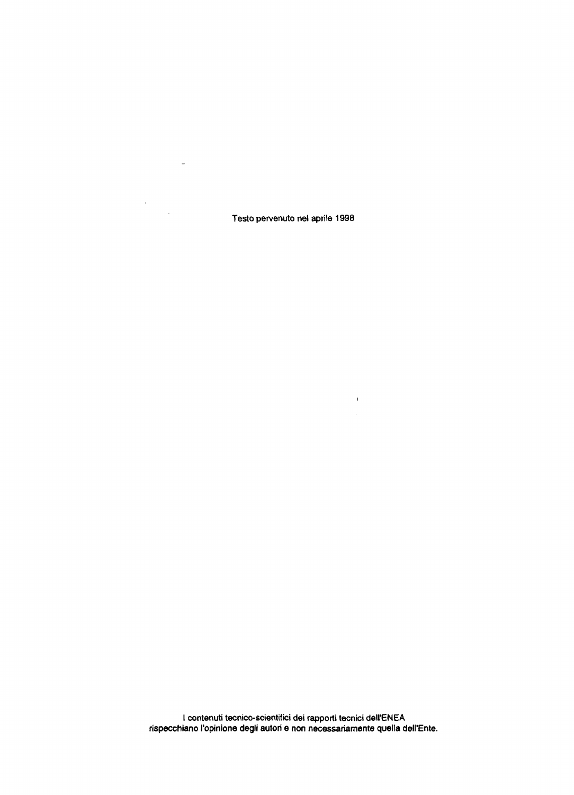Testo pervenuto nel aprile 1998

 $\label{eq:1} \begin{array}{ll} \mathbf{A} & \mathbf{B} & \mathbf{B} \\ \mathbf{A} & \mathbf{B} & \mathbf{B} \\ \mathbf{A} & \mathbf{B} & \mathbf{B} \\ \mathbf{A} & \mathbf{B} & \mathbf{B} \\ \mathbf{A} & \mathbf{B} & \mathbf{B} \\ \mathbf{A} & \mathbf{B} & \mathbf{B} \\ \mathbf{A} & \mathbf{B} & \mathbf{B} \\ \mathbf{A} & \mathbf{B} & \mathbf{B} \\ \mathbf{A} & \mathbf{B} & \mathbf{B} \\ \mathbf{A} & \mathbf{B} & \mathbf$ 

 $\sim$   $\sim$ 

 $\label{eq:2.1} \frac{1}{\sqrt{2}}\sum_{i=1}^n\frac{1}{\sqrt{2\pi}}\sum_{i=1}^n\frac{1}{\sqrt{2\pi}}\sum_{i=1}^n\frac{1}{\sqrt{2\pi}}\sum_{i=1}^n\frac{1}{\sqrt{2\pi}}\sum_{i=1}^n\frac{1}{\sqrt{2\pi}}\sum_{i=1}^n\frac{1}{\sqrt{2\pi}}\sum_{i=1}^n\frac{1}{\sqrt{2\pi}}\sum_{i=1}^n\frac{1}{\sqrt{2\pi}}\sum_{i=1}^n\frac{1}{\sqrt{2\pi}}\sum_{i=1}^n\frac{$ 

I contenuti tecnico-scientifici dei rapporti tecnici dell'ENEA rispecchiano l'opinione degli autori e non necessariamente quella dell'Ente.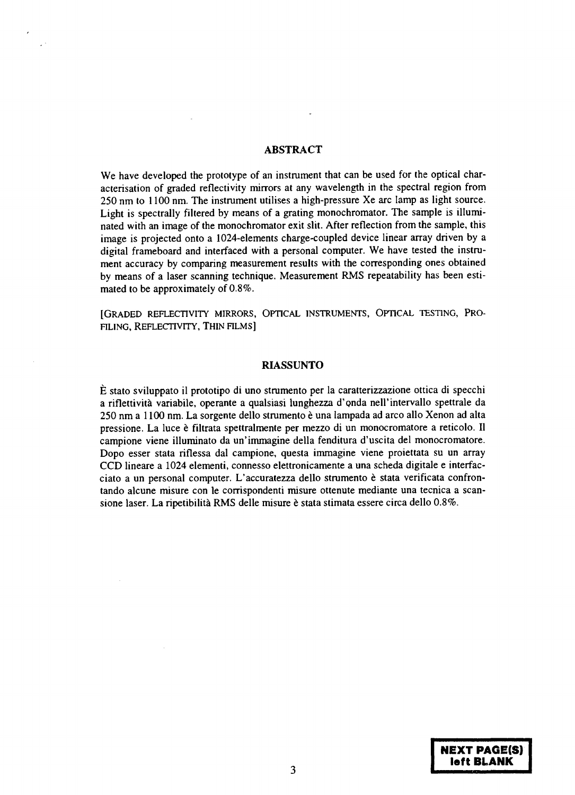#### **ABSTRACT**

We have developed the prototype of an instrument that can be used for the optical characterisation of graded reflectivity mirrors at any wavelength in the spectral region from 250 nm to 1100 nm. The instrument utilises a high-pressure Xe arc lamp as light source. Light is spectrally filtered by means of a grating monochromator. The sample is illuminated with an image of the monochromator exit slit. After reflection from the sample, this image is projected onto a 1024-elements charge-coupled device linear array driven by a digital frameboard and interfaced with a personal computer. We have tested the instrument accuracy by comparing measurement results with the corresponding ones obtained by means of a laser scanning technique. Measurement RMS repeatability has been estimated to be approximately of 0.8%.

[GRADED REFLECTIVITY MIRRORS, OPTICAL INSTRUMENTS, OPTICAL TESTING, PRO-FILING, REFLECTIVITY, THIN FILMS]

#### **RIASSUNTO**

E stato sviluppato il prototipo di uno strumento per la caratterizzazione ottica di specchi a riflettivita variabile, operante a qualsiasi lunghezza d'onda nell'intervallo spettrale da 250 nm a 1100 nm. La sorgente dello strumento è una lampada ad arco allo Xenon ad alta pressione. La luce è filtrata spettralmente per mezzo di un monocromatore a reticolo. Il campione viene illuminato da un'immagine della fenditura d'uscita del monocromatore. Dopo esser stata riflessa dal campione, questa immagine viene proiettata su un array CCD lineare a 1024 elementi, connesso elettronicamente a una scheda digitale e interfacciato a un personal computer. L'accuratezza dello strumento è stata verificata confrontando alcune misure con le corrispondenti misure ottenute mediante una tecnica a scansione laser. La ripetibilità RMS delle misure è stata stimata essere circa dello 0.8%.

> **NEXT PAGE(S) left BLANK**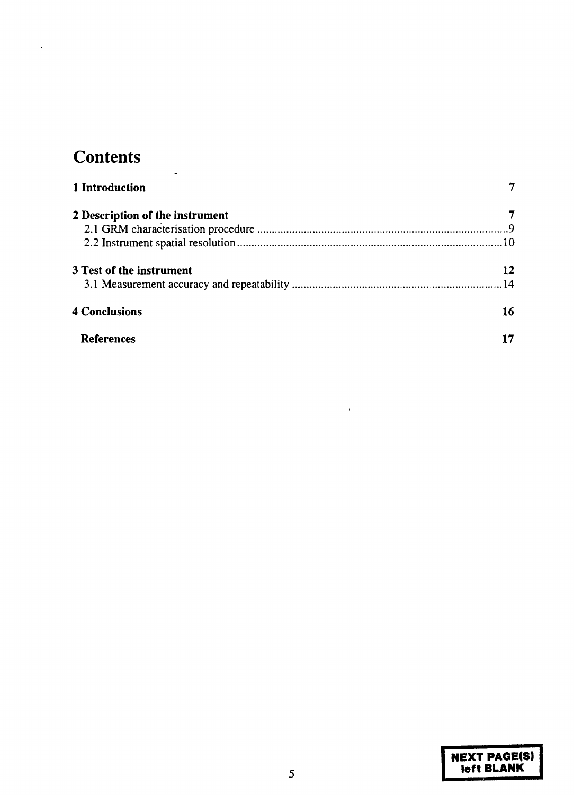# **Contents**

L

 $\sim$   $\lambda$  .  $\ddot{\phantom{a}}$ 

| 1 Introduction                  |    |
|---------------------------------|----|
| 2 Description of the instrument |    |
|                                 |    |
|                                 |    |
| 3 Test of the instrument        | 12 |
|                                 |    |
| <b>4 Conclusions</b>            | 16 |
| <b>References</b>               |    |

 $\bar{\star}$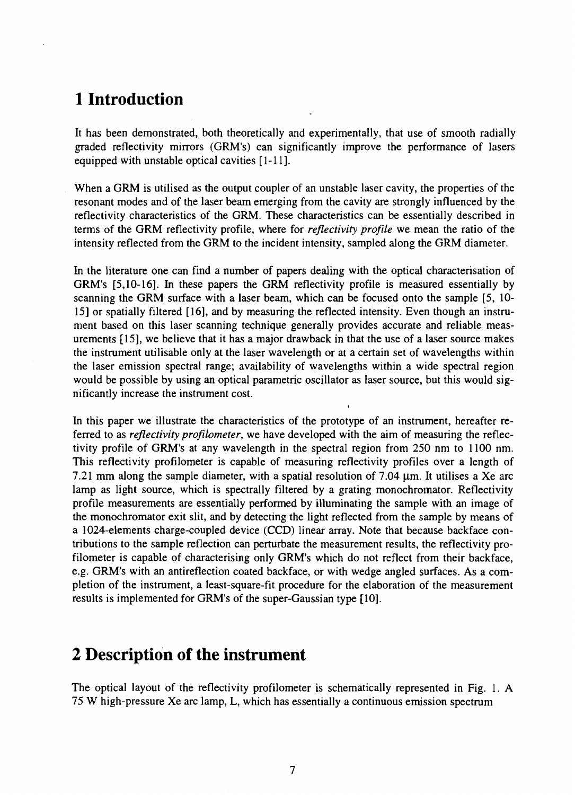## **1 Introduction**

It has been demonstrated, both theoretically and experimentally, that use of smooth radially graded reflectivity mirrors (GRM's) can significantly improve the performance of lasers equipped with unstable optical cavities [1-11].

When a GRM is utilised as the output coupler of an unstable laser cavity, the properties of the resonant modes and of the laser beam emerging from the cavity are strongly influenced by the reflectivity characteristics of the GRM. These characteristics can be essentially described in terms of the GRM reflectivity profile, where for *reflectivity profile* we mean the ratio of the intensity reflected from the GRM to the incident intensity, sampled along the GRM diameter.

In the literature one can find a number of papers dealing with the optical characterisation of GRM's [5,10-16]. In these papers the GRM reflectivity profile is measured essentially by scanning the GRM surface with a laser beam, which can be focused onto the sample [5, 10- 15] or spatially filtered [16], and by measuring the reflected intensity. Even though an instrument based on this laser scanning technique generally provides accurate and reliable measurements [15], we believe that it has a major drawback in that the use of a laser source makes the instrument utilisable only at the laser wavelength or at a certain set of wavelengths within the laser emission spectral range; availability of wavelengths within a wide spectral region would be possible by using an optical parametric oscillator as laser source, but this would significantly increase the instrument cost.

In this paper we illustrate the characteristics of the prototype of an instrument, hereafter referred to as *reflectivity profilometer,* we have developed with the aim of measuring the reflectivity profile of GRM's at any wavelength in the spectral region from 250 nm to 1100 nm. This reflectivity profilometer is capable of measuring reflectivity profiles over a length of 7.21 mm along the sample diameter, with a spatial resolution of 7.04  $\mu$ m. It utilises a Xe arc lamp as light source, which is spectrally filtered by a grating monochromator. Reflectivity profile measurements are essentially performed by illuminating the sample with an image of the monochromator exit slit, and by detecting the light reflected from the sample by means of a 1024-elements charge-coupled device (CCD) linear array. Note that because backface contributions to the sample reflection can perturbate the measurement results, the reflectivity profilometer is capable of characterising only GRM's which do not reflect from their backface, e.g. GRM's with an antireflection coated backface, or with wedge angled surfaces. As a completion of the instrument, a least-square-fit procedure for the elaboration of the measurement results is implemented for GRM's of the super-Gaussian type [10].

## **2 Description of the instrument**

The optical layout of the reflectivity profilometer is schematically represented in Fig. 1. A 75 W high-pressure Xe arc lamp, L, which has essentially a continuous emission spectrum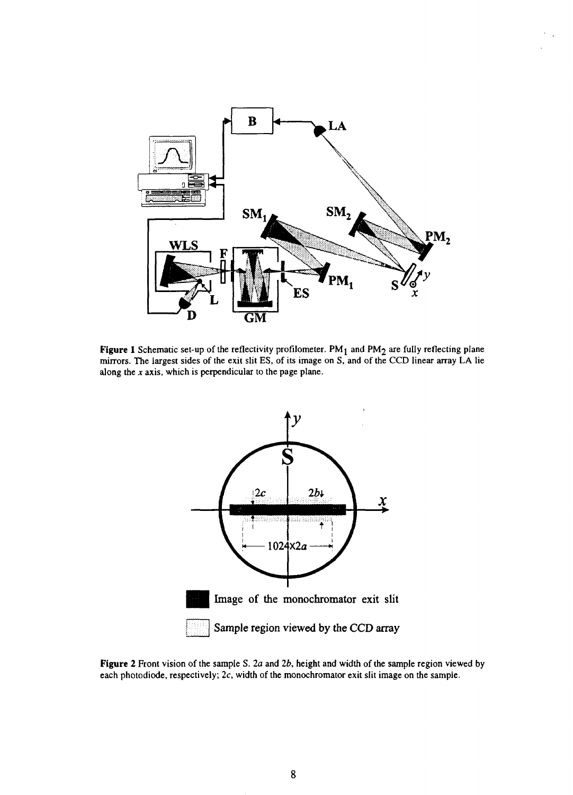

Figure 1 Schematic set-up of the reflectivity profilometer. PM<sub>1</sub> and PM<sub>2</sub> are fully reflecting plane mirrors. The largest sides of the exit slit ES, of its image on S, and of the CCD linear array LA lie along the *x* axis, which is perpendicular to the page plane.



**Figure 2** Front vision of the sample S. *2a* and *2b,* height and width of the sample region viewed by each photodiode, respectively; 2c, width of the monochromator exit slit image on the sample.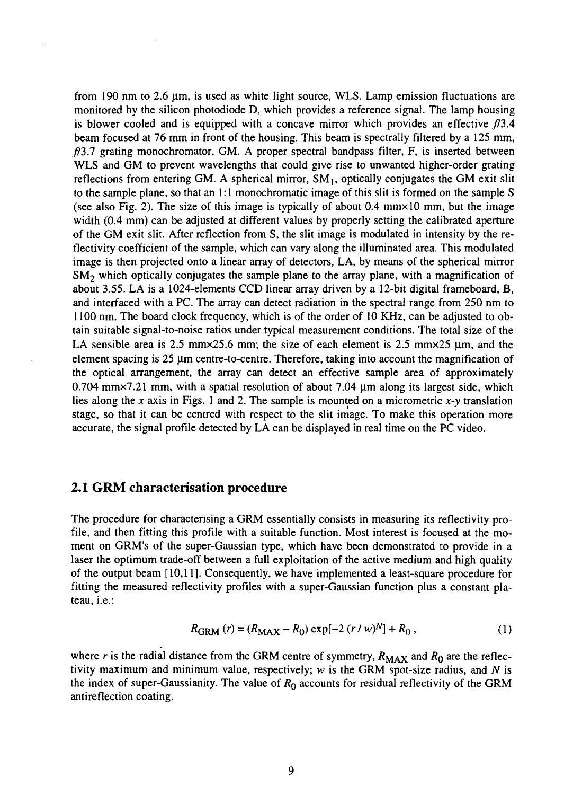from 190 nm to 2.6 *\im,* is used as white light source, WLS. Lamp emission fluctuations are monitored by the silicon photodiode D, which provides a reference signal. The lamp housing is blower cooled and is equipped with a concave mirror which provides an effective *f/3.4* beam focused at 76 mm in front of the housing. This beam is spectrally filtered by a 125 mm,  $f/3.7$  grating monochromator, GM. A proper spectral bandpass filter, F, is inserted between WLS and GM to prevent wavelengths that could give rise to unwanted higher-order grating reflections from entering GM. A spherical mirror,  $SM<sub>1</sub>$ , optically conjugates the GM exit slit to the sample plane, so that an 1:1 monochromatic image of this slit is formed on the sample S (see also Fig. 2). The size of this image is typically of about  $0.4 \text{ mm} \times 10 \text{ mm}$ , but the image width (0.4 mm) can be adjusted at different values by properly setting the calibrated aperture of the GM exit slit. After reflection from S, the slit image is modulated in intensity by the reflectivity coefficient of the sample, which can vary along the illuminated area. This modulated image is then projected onto a linear array of detectors, LA, by means of the spherical mirror  $SM<sub>2</sub>$  which optically conjugates the sample plane to the array plane, with a magnification of about 3.55. LA is a 1024-elements CCD linear array driven by a 12-bit digital frameboard, B, and interfaced with a PC. The array can detect radiation in the spectral range from 250 nm to 1100 nm. The board clock frequency, which is of the order of 10 KHz, can be adjusted to obtain suitable signal-to-noise ratios under typical measurement conditions. The total size of the LA sensible area is 2.5 mm $\times$ 25.6 mm; the size of each element is 2.5 mm $\times$ 25  $\mu$ m, and the element spacing is  $25 \mu m$  centre-to-centre. Therefore, taking into account the magnification of the optical arrangement, the array can detect an effective sample area of approximately 0.704 mm $\times$ 7.21 mm, with a spatial resolution of about 7.04  $\mu$ m along its largest side, which lies along the *x* axis in Figs. 1 and 2. The sample is mounted on a micrometric *x-y* translation stage, so that it can be centred with respect to the slit image. To make this operation more accurate, the signal profile detected by LA can be displayed in real time on the PC video.

#### 2.1 GRM characterisation procedure

The procedure for characterising a GRM essentially consists in measuring its reflectivity profile, and then fitting this profile with a suitable function. Most interest is focused at the moment on GRM's of the super-Gaussian type, which have been demonstrated to provide in a laser the optimum trade-off between a full exploitation of the active medium and high quality of the output beam [10,11]. Consequently, we have implemented a least-square procedure for fitting the measured reflectivity profiles with a super-Gaussian function plus a constant plateau, i.e.:

$$
R_{\text{GRM}}\left(r\right) = \left(R_{\text{MAX}} - R_0\right) \exp[-2\left(r / w\right)^{N}] + R_0\,,\tag{1}
$$

where r is the radial distance from the GRM centre of symmetry,  $R_{MAX}$  and  $R_0$  are the reflectivity maximum and minimum value, respectively; *w* is the GRM spot-size radius, and *N* is the index of super-Gaussianity. The value of *Ro* accounts for residual reflectivity of the GRM antireflection coating.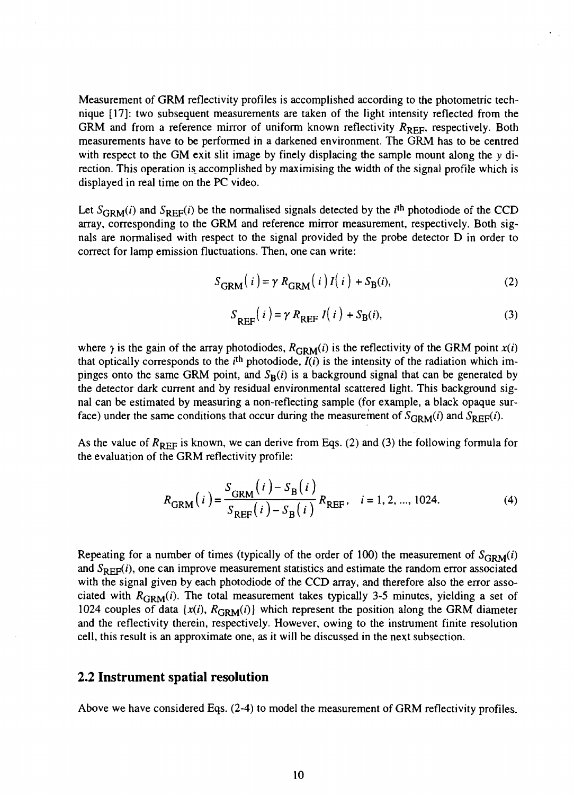Measurement of GRM reflectivity profiles is accomplished according to the photometric technique [17]: two subsequent measurements are taken of the light intensity reflected from the GRM and from a reference mirror of uniform known reflectivity  $R_{RFF}$ , respectively. Both measurements have to be performed in a darkened environment. The GRM has to be centred with respect to the GM exit slit image by finely displacing the sample mount along the  $y$  direction. This operation is accomplished by maximising the width of the signal profile which is displayed in real time on the PC video.

Let  $S_{\text{GRM}}(i)$  and  $S_{\text{REF}}(i)$  be the normalised signals detected by the *i*<sup>th</sup> photodiode of the CCD array, corresponding to the GRM and reference mirror measurement, respectively. Both signals are normalised with respect to the signal provided by the probe detector D in order to correct for lamp emission fluctuations. Then, one can write:

$$
S_{\text{GRM}}(i) = \gamma R_{\text{GRM}}(i) I(i) + S_{\text{B}}(i), \tag{2}
$$

$$
S_{\text{REF}}(i) = \gamma R_{\text{REF}} I(i) + S_{\text{B}}(i),\tag{3}
$$

where  $\gamma$  is the gain of the array photodiodes,  $R_{\text{GRM}}(i)$  is the reflectivity of the GRM point  $x(i)$ that optically corresponds to the  $i<sup>th</sup>$  photodiode,  $\tilde{I}(i)$  is the intensity of the radiation which impinges onto the same GRM point, and  $S_R(i)$  is a background signal that can be generated by the detector dark current and by residual environmental scattered light. This background signal can be estimated by measuring a non-reflecting sample (for example, a black opaque surface) under the same conditions that occur during the measurement of  $S_{\text{GRM}}(i)$  and

As the value of  $R_{REF}$  is known, we can derive from Eqs. (2) and (3) the following formula for the evaluation of the GRM reflectivity profile:

$$
R_{\text{GRM}}(i) = \frac{S_{\text{GRM}}(i) - S_{\text{B}}(i)}{S_{\text{REF}}(i) - S_{\text{B}}(i)} R_{\text{REF}}, \quad i = 1, 2, ..., 1024.
$$
 (4)

Repeating for a number of times (typically of the order of 100) the measurement of  $S_{\text{GRM}}(i)$ and  $S_{REF}(i)$ , one can improve measurement statistics and estimate the random error associated with the signal given by each photodiode of the CCD array, and therefore also the error associated with  $R_{\text{GRM}}(i)$ . The total measurement takes typically 3-5 minutes, yielding a set of 1024 couples of data  $\{x(i), R_{\text{GRM}}(i)\}\)$  which represent the position along the GRM diameter and the reflectivity therein, respectively. However, owing to the instrument finite resolution cell, this result is an approximate one, as it will be discussed in the next subsection.

#### 2.2 Instrument spatial resolution

Above we have considered Eqs. (2-4) to model the measurement of GRM reflectivity profiles.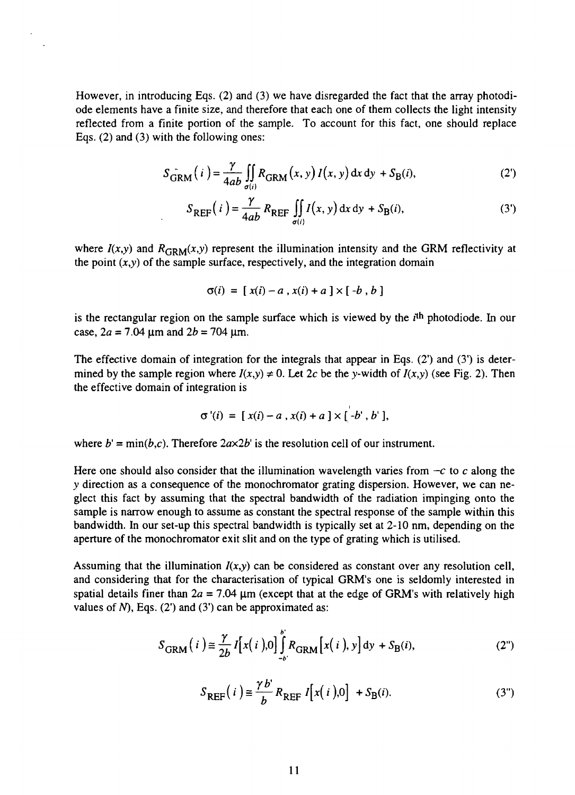However, in introducing Eqs. (2) and (3) we have disregarded the fact that the array photodiode elements have a finite size, and therefore that each one of them collects the light intensity reflected from a finite portion of the sample. To account for this fact, one should replace Eqs. (2) and (3) with the following ones:

$$
S_{\text{GRM}}^{-}(i) = \frac{\gamma}{4ab} \iint_{\sigma(i)} R_{\text{GRM}}(x, y) I(x, y) dx dy + S_{\text{B}}(i),
$$
 (2')

$$
S_{REF}(i) = \frac{\gamma}{4ab} R_{REF} \iint_{\sigma(i)} I(x, y) dx dy + S_B(i), \tag{3'}
$$

where  $I(x,y)$  and  $R_{\text{GRM}}(x,y)$  represent the illumination intensity and the GRM reflectivity at the point  $(x,y)$  of the sample surface, respectively, and the integration domain

$$
\sigma(i) = [x(i) - a, x(i) + a] \times [-b, b]
$$

is the rectangular region on the sample surface which is viewed by the *i*<sup>th</sup> photodiode. In our case,  $2a = 7.04 \text{ µm}$  and  $2b = 704 \text{ µm}$ .

The effective domain of integration for the integrals that appear in Eqs. (2') and (3') is determined by the sample region where  $I(x,y) \neq 0$ . Let 2c be the y-width of  $I(x,y)$  (see Fig. 2). Then the effective domain of integration is

$$
\sigma'(i) = [x(i) - a, x(i) + a] \times [-b', b'],
$$

where  $b' = min(b, c)$ . Therefore  $2a \times 2b'$  is the resolution cell of our instrument.

Here one should also consider that the illumination wavelength varies from —*c* to *c* along the *y* direction as a consequence of the monochromator grating dispersion. However, we can neglect this fact by assuming that the spectral bandwidth of the radiation impinging onto the sample is narrow enough to assume as constant the spectral response of the sample within this bandwidth. In our set-up this spectral bandwidth is typically set at 2-10 nm, depending on the aperture of the monochromator exit slit and on the type of grating which is utilised.

Assuming that the illumination  $I(x,y)$  can be considered as constant over any resolution cell, and considering that for the characterisation of typical GRM's one is seldomly interested in spatial details finer than  $2a = 7.04 \mu m$  (except that at the edge of GRM's with relatively high values of  $N$ ), Eqs. (2') and (3') can be approximated as:

$$
S_{\text{GRM}}(i) \cong \frac{\gamma}{2b} I[x(i)] \int_{-b}^{b} R_{\text{GRM}}[x(i), y] dy + S_{\text{B}}(i), \tag{2}
$$

$$
S_{\text{REF}}(i) \equiv \frac{\gamma b'}{b} R_{\text{REF}} I[x(i)] + S_{\text{B}}(i). \tag{3'}
$$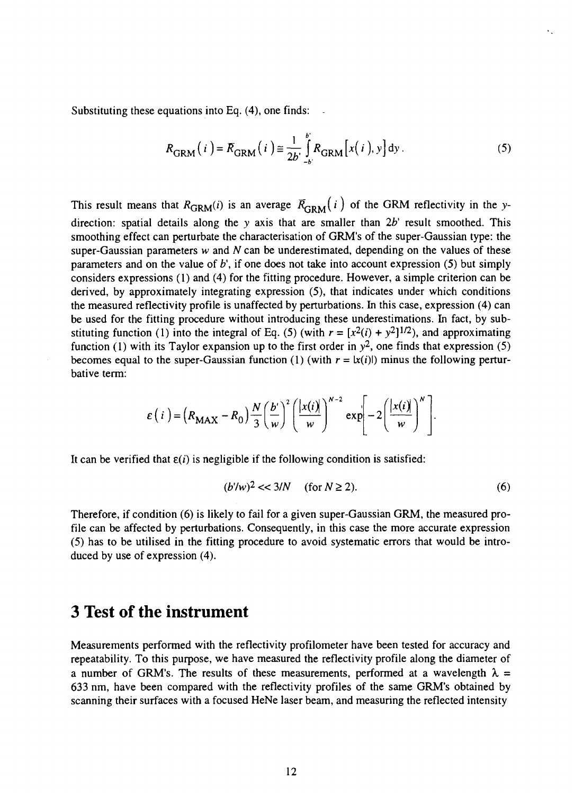Substituting these equations into Eq.  $(4)$ , one finds:

$$
R_{\text{GRM}}(i) = R_{\text{GRM}}(i) \equiv \frac{1}{2b} \int_{-b}^{b} R_{\text{GRM}}[x(i), y] dy.
$$
 (5)

This result means that  $R_{\text{GRM}}(i)$  is an average  $\bar{R}_{\text{GRM}}(i)$  of the GRM reflectivity in the ydirection: spatial details along the *y* axis that are smaller than *2b'* result smoothed. This smoothing effect can perturbate the characterisation of GRM's of the super-Gaussian type: the super-Gaussian parameters *w* and *N* can be underestimated, depending on the values of these parameters and on the value of *b\* if one does not take into account expression (5) but simply considers expressions (1) and (4) for the fitting procedure. However, a simple criterion can be derived, by approximately integrating expression (5), that indicates under which conditions the measured reflectivity profile is unaffected by perturbations. In this case, expression (4) can be used for the fitting procedure without introducing these underestimations. In fact, by substituting function (1) into the integral of Eq. (5) (with  $r = [x^2(i) + y^2]^{1/2}$ ), and approximating function (1) with its Taylor expansion up to the first order in  $y^2$ , one finds that expression (5) becomes equal to the super-Gaussian function (1) (with  $r = |x(i)|$ ) minus the following perturbative term:

$$
\varepsilon(i) = (R_{\text{MAX}} - R_0) \frac{N}{3} \left(\frac{b'}{w}\right)^2 \left(\frac{|x(i)|}{w}\right)^{N-2} \exp\left[-2\left(\frac{|x(i)|}{w}\right)^N\right].
$$

It can be verified that  $\varepsilon(i)$  is negligible if the following condition is satisfied:

$$
(b'/w)^2 << 3/N \quad \text{(for } N \ge 2). \tag{6}
$$

Therefore, if condition (6) is likely to fail for a given super-Gaussian GRM, the measured profile can be affected by perturbations. Consequently, in this case the more accurate expression (5) has to be utilised in the fitting procedure to avoid systematic errors that would be introduced by use of expression (4).

### **3 Test of the instrument**

Measurements performed with the reflectivity profilometer have been tested for accuracy and repeatability. To this purpose, we have measured the reflectivity profile along the diameter of a number of GRM's. The results of these measurements, performed at a wavelength  $\lambda =$ 633 nm, have been compared with the reflectivity profiles of the same GRM's obtained by scanning their surfaces with a focused HeNe laser beam, and measuring the reflected intensity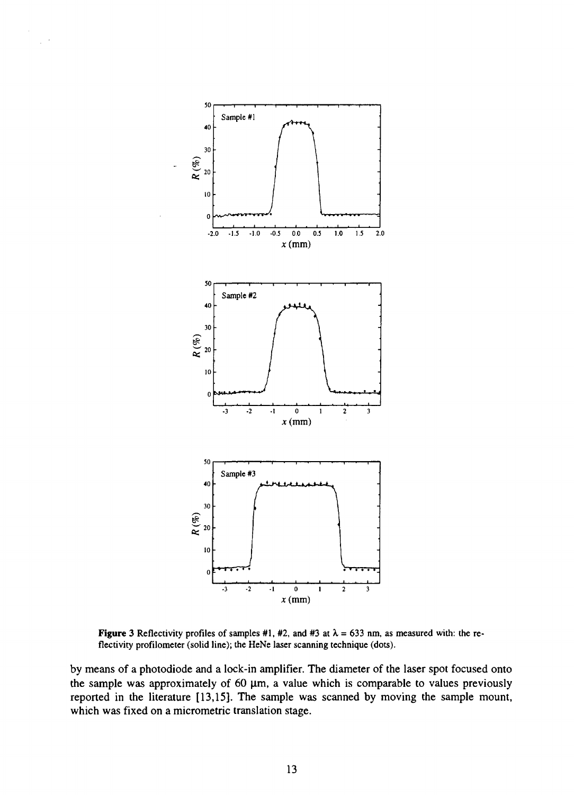

 $\hat{\mathcal{A}}$ 

**Figure** 3 Reflectivity profiles of samples #1, #2, and #3 at  $\lambda = 633$  nm, as measured with: the reflectivity profilometer (solid line); the HeNe laser scanning technique (dots).

by means of a photodiode and a lock-in amplifier. The diameter of the laser spot focused onto the sample was approximately of 60  $\mu$ m, a value which is comparable to values previously reported in the literature [13,15]. The sample was scanned by moving the sample mount, which was fixed on a micrometric translation stage.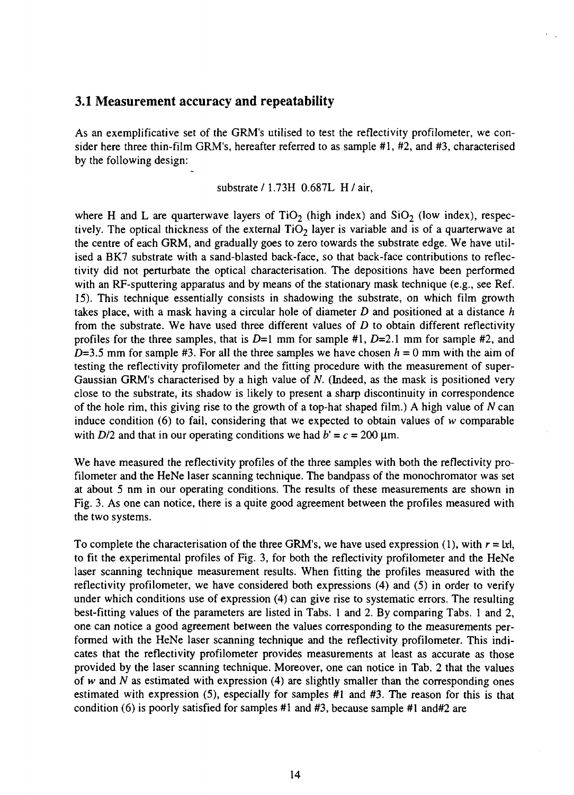#### 3.1 Measurement accuracy and repeatability

As an exemplificative set of the GRM's utilised to test the reflectivity profilometer, we consider here three thin-film GRM's, hereafter referred to as sample #1, #2, and #3, characterised by the following design:

#### substrate/1.73H 0.687L H/air,

where H and L are quarterwave layers of  $TiO<sub>2</sub>$  (high index) and  $SiO<sub>2</sub>$  (low index), respectively. The optical thickness of the external  $TiO<sub>2</sub>$  layer is variable and is of a quarterwave at the centre of each GRM, and gradually goes to zero towards the substrate edge. We have utilised a BK7 substrate with a sand-blasted back-face, so that back-face contributions to reflectivity did not perturbate the optical characterisation. The depositions have been performed with an RF-sputtering apparatus and by means of the stationary mask technique (e.g., see Ref. 15). This technique essentially consists in shadowing the substrate, on which film growth takes place, with a mask having a circular hole of diameter *D* and positioned at a distance *h* from the substrate. We have used three different values of *D* to obtain different reflectivity profiles for the three samples, that is D=l mm for sample #1, *D=2.l* mm for sample #2, and  $D=3.5$  mm for sample #3. For all the three samples we have chosen  $h = 0$  mm with the aim of testing the reflectivity profilometer and the fitting procedure with the measurement of super-Gaussian GRM's characterised by a high value of *N.* (Indeed, as the mask is positioned very close to the substrate, its shadow is likely to present a sharp discontinuity in correspondence of the hole rim, this giving rise to the growth of a top-hat shaped film.) A high value of *N* can induce condition (6) to fail, considering that we expected to obtain values of *w* comparable with  $D/2$  and that in our operating conditions we had  $b' = c = 200 \text{ }\mu\text{m}$ .

We have measured the reflectivity profiles of the three samples with both the reflectivity profilometer and the HeNe laser scanning technique. The bandpass of the monochromator was set at about 5 nm in our operating conditions. The results of these measurements are shown in Fig. 3. As one can notice, there is a quite good agreement between the profiles measured with the two systems.

To complete the characterisation of the three GRM's, we have used expression (1), with  $r = \{x\}$ , to fit the experimental profiles of Fig. 3, for both the reflectivity profilometer and the HeNe laser scanning technique measurement results. When fitting the profiles measured with the reflectivity profilometer, we have considered both expressions (4) and (5) in order to verify under which conditions use of expression (4) can give rise to systematic errors. The resulting best-fitting values of the parameters are listed in Tabs. 1 and 2. By comparing Tabs. 1 and 2, one can notice a good agreement between the values corresponding to the measurements performed with the HeNe laser scanning technique and the reflectivity profilometer. This indicates that the reflectivity profilometer provides measurements at least as accurate as those provided by the laser scanning technique. Moreover, one can notice in Tab. 2 that the values of *w* and *N* as estimated with expression (4) are slightly smaller than the corresponding ones estimated with expression (5), especially for samples #1 and #3. The reason for this is that condition (6) is poorly satisfied for samples #1 and #3, because sample #1 and#2 are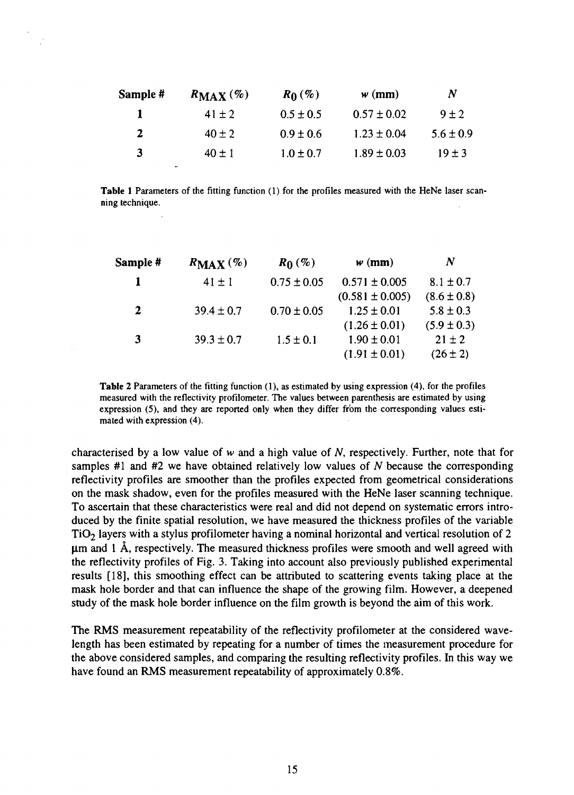| Sample #     | $R_{MAX}$ (%) | $R_0(\%)$     | $w$ (mm)        | N             |
|--------------|---------------|---------------|-----------------|---------------|
| п            | $41 \pm 2$    | $0.5 \pm 0.5$ | $0.57 \pm 0.02$ | $9 \pm 2$     |
| $\mathbf{2}$ | $40 \pm 2$    | $0.9 \pm 0.6$ | $1.23 \pm 0.04$ | $5.6 \pm 0.9$ |
| 3            | $40 \pm 1$    | $1.0 \pm 0.7$ | $1.89 \pm 0.03$ | $19 \pm 3$    |

**Table 1** Parameters of the fitting function (1) for the profiles measured with the HeNe laser scanning technique.

| Sample #     | $R_{MAX}$ (%)  | $R_0$ (%)       | $w$ (mm)            | N               |
|--------------|----------------|-----------------|---------------------|-----------------|
| 1            | $41 \pm 1$     | $0.75 \pm 0.05$ | $0.571 \pm 0.005$   | $8.1 \pm 0.7$   |
|              |                |                 | $(0.581 \pm 0.005)$ | $(8.6 \pm 0.8)$ |
| $\mathbf{2}$ | $39.4 \pm 0.7$ | $0.70 \pm 0.05$ | $1.25 \pm 0.01$     | $5.8 \pm 0.3$   |
|              |                |                 | $(1.26 \pm 0.01)$   | $(5.9 \pm 0.3)$ |
| 3            | $39.3 \pm 0.7$ | $1.5 \pm 0.1$   | $1.90 \pm 0.01$     | $21 \pm 2$      |
|              |                |                 | $(1.91 \pm 0.01)$   | $(26 \pm 2)$    |

**Table** 2 Parameters of the fitting function (1), as estimated by using expression (4), for the profiles measured with the reflectivity profilometer. The values between parenthesis are estimated by using expression (5), and they are reported only when they differ from the corresponding values estimated with expression (4).

characterised by a low value of w and a high value of *N,* respectively. Further, note that for samples #1 and #2 we have obtained relatively low values of *N* because the corresponding reflectivity profiles are smoother than the profiles expected from geometrical considerations on the mask shadow, even for the profiles measured with the HeNe laser scanning technique. To ascertain that these characteristics were real and did not depend on systematic errors introduced by the finite spatial resolution, we have measured the thickness profiles of the variable TiO2 layers with a stylus profilometer having a nominal horizontal and vertical resolution of 2  $\mu$ m and 1 Å, respectively. The measured thickness profiles were smooth and well agreed with the reflectivity profiles of Fig. 3. Taking into account also previously published experimental results [18], this smoothing effect can be attributed to scattering events taking place at the mask hole border and that can influence the shape of the growing film. However, a deepened study of the mask hole border influence on the film growth is beyond the aim of this work.

The RMS measurement repeatability of the reflectivity profilometer at the considered wavelength has been estimated by repeating for a number of times the measurement procedure for the above considered samples, and comparing the resulting reflectivity profiles. In this way we have found an RMS measurement repeatability of approximately 0.8%.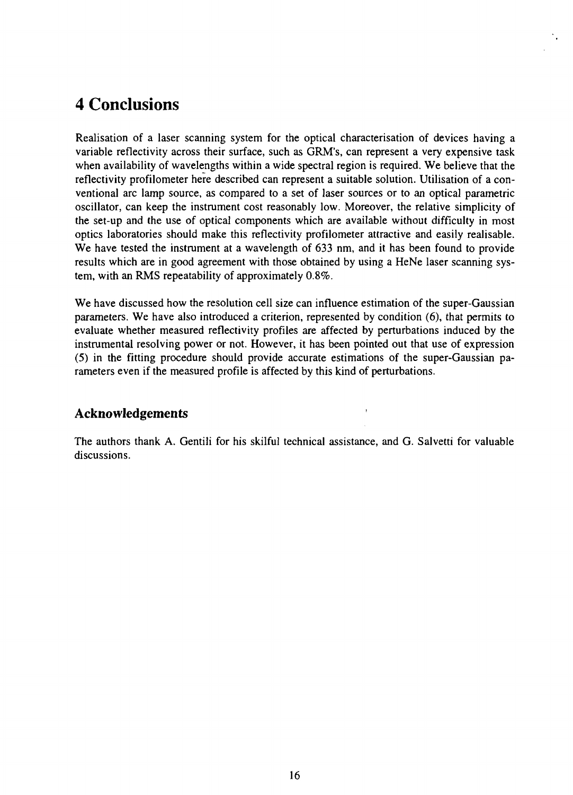# **4 Conclusions**

Realisation of a laser scanning system for the optical characterisation of devices having a variable reflectivity across their surface, such as GRM's, can represent a very expensive task when availability of wavelengths within a wide spectral region is required. We believe that the reflectivity profilometer here described can represent a suitable solution. Utilisation of a conventional arc lamp source, as compared to a set of laser sources or to an optical parametric oscillator, can keep the instrument cost reasonably low. Moreover, the relative simplicity of the set-up and the use of optical components which are available without difficulty in most optics laboratories should make this reflectivity profilometer attractive and easily realisable. We have tested the instrument at a wavelength of 633 nm, and it has been found to provide results which are in good agreement with those obtained by using a HeNe laser scanning system, with an RMS repeatability of approximately 0.8%.

We have discussed how the resolution cell size can influence estimation of the super-Gaussian parameters. We have also introduced a criterion, represented by condition (6), that permits to evaluate whether measured reflectivity profiles are affected by perturbations induced by the instrumental resolving power or not. However, it has been pointed out that use of expression (5) in the fitting procedure should provide accurate estimations of the super-Gaussian parameters even if the measured profile is affected by this kind of perturbations.

### Acknowledgements

The authors thank A. Gentili for his skilful technical assistance, and G. Salvetti for valuable discussions.

 $\ddot{\phantom{1}}$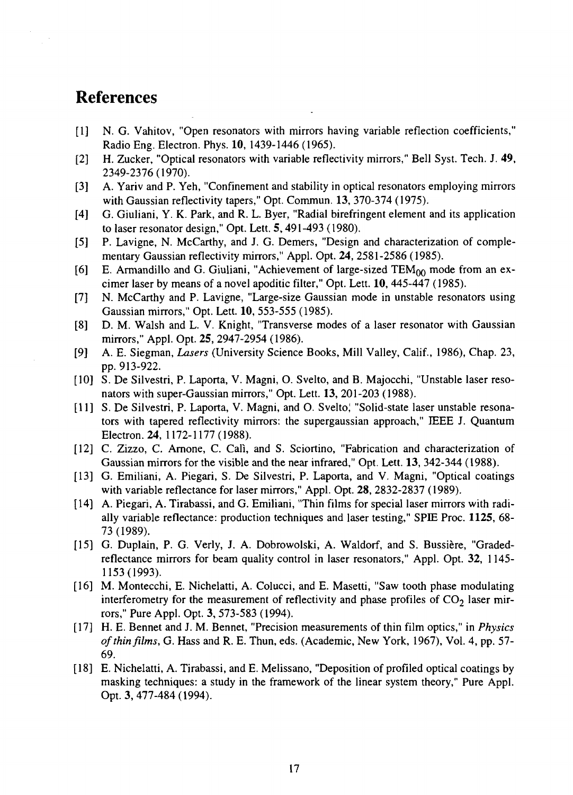## **References**

- [I] N. G. Vahitov, "Open resonators with mirrors having variable reflection coefficients," Radio Eng. Electron. Phys. 10, 1439-1446 (1965).
- [2] H. Zucker, "Optical resonators with variable reflectivity mirrors," Bell Syst. Tech. J. 49, 2349-2376(1970).
- [3] A. Yariv and P. Yeh, "Confinement and stability in optical resonators employing mirrors with Gaussian reflectivity tapers," Opt. Commun. 13, 370-374 (1975).
- [4] G. Giuliani, Y. K. Park, and R. L. Byer, "Radial birefringent element and its application to laser resonator design," Opt. Lett. 5,491-493 (1980).
- [5] P. Lavigne, N. McCarthy, and J. G. Demers, "Design and characterization of complementary Gaussian reflectivity mirrors," Appl. Opt. 24, 2581-2586 (1985).
- [6] E. Armandillo and G. Giuliani, "Achievement of large-sized  $TEM_{00}$  mode from an excimer laser by means of a novel apoditic filter," Opt. Lett. 10, 445-447 (1985).
- [7] N. McCarthy and P. Lavigne, "Large-size Gaussian mode in unstable resonators using Gaussian mirrors," Opt. Lett. 10, 553-555 (1985).
- [8] D. M. Walsh and L. V. Knight, "Transverse modes of a laser resonator with Gaussian mirrors," Appl. Opt. **25,** 2947-2954 (1986).
- [9] A. E. Siegman, *Lasers* (University Science Books, Mill Valley, Calif., 1986), Chap. 23, pp. 913-922.
- [10] S. De Silvestri, P. Laporta, V. Magni, O. Svelto, and B. Majocchi, "Unstable laser resonators with super-Gaussian mirrors," Opt. Lett. 13, 201-203 (1988).
- [II] S. De Silvestri, P. Laporta, V. Magni, and O. Svelto; "Solid-state laser unstable resonators with tapered reflectivity mirrors: the supergaussian approach," IEEE J. Quantum Electron. 24, 1172-1177 (1988).
- [12] C. Zizzo, C. Arnone, C. Call, and S. Sciortino, "Fabrication and characterization of Gaussian mirrors for the visible and the near infrared," Opt. Lett. 13, 342-344 (1988).
- [13] G. Emiliani, A. Piegari, S. De Silvestri, P. Laporta, and V. Magni, "Optical coatings with variable reflectance for laser mirrors," Appl. Opt. 28, 2832-2837 (1989).
- [14] A. Piegari, A. Tirabassi, and G. Emiliani, "Thin films for special laser mirrors with radially variable reflectance: production techniques and laser testing," SPIE Proc. **1125,** 68- 73(1989).
- [15] G. Duplain, P. G. Verly, J. A. Dobrowolski, A. Waldorf, and S. Bussière, "Gradedreflectance mirrors for beam quality control in laser resonators," Appl. Opt. 32, 1145- 1153(1993).
- [16] M. Montecchi, E. Nichelatti, A. Colucci, and E. Masetti, "Saw tooth phase modulating interferometry for the measurement of reflectivity and phase profiles of  $CO<sub>2</sub>$  laser mirrors," Pure Appl. Opt. 3, 573-583 (1994).
- [17] H. E. Bennet and J. M. Bennet, "Precision measurements of thin film optics," in *Physics of thin films,* G. Hass and R. E. Thun, eds. (Academic, New York, 1967), Vol. 4, pp. 57- 69.
- [18] E. Nichelatti, A. Tirabassi, and E. Melissano, "Deposition of profiled optical coatings by masking techniques: a study in the framework of the linear system theory," Pure Appl. Opt. 3,477-484(1994).